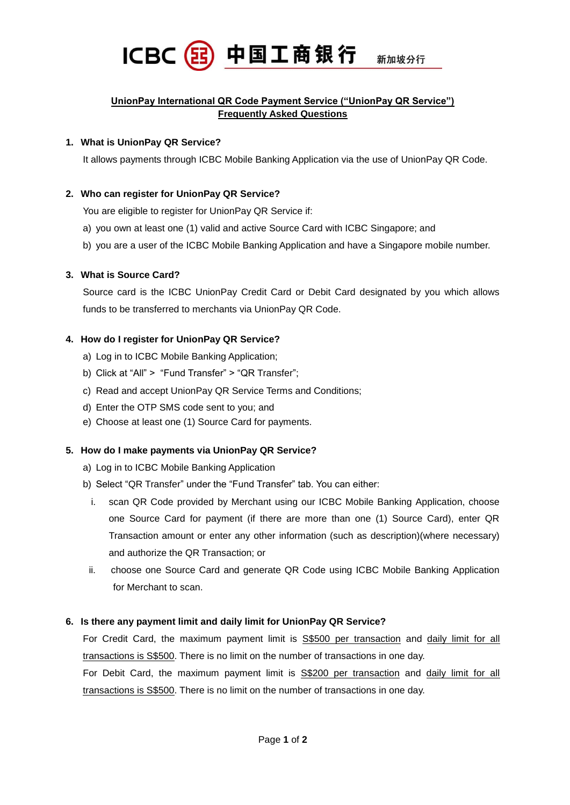

## **UnionPay International QR Code Payment Service ("UnionPay QR Service") Frequently Asked Questions**

### **1. What is UnionPay QR Service?**

It allows payments through ICBC Mobile Banking Application via the use of UnionPay QR Code.

### **2. Who can register for UnionPay QR Service?**

You are eligible to register for UnionPay QR Service if:

- a) you own at least one (1) valid and active Source Card with ICBC Singapore; and
- b) you are a user of the ICBC Mobile Banking Application and have a Singapore mobile number.

## **3. What is Source Card?**

Source card is the ICBC UnionPay Credit Card or Debit Card designated by you which allows funds to be transferred to merchants via UnionPay QR Code.

## **4. How do I register for UnionPay QR Service?**

- a) Log in to ICBC Mobile Banking Application;
- b) Click at "All" > "Fund Transfer" > "QR Transfer";
- c) Read and accept UnionPay QR Service Terms and Conditions;
- d) Enter the OTP SMS code sent to you; and
- e) Choose at least one (1) Source Card for payments.

### **5. How do I make payments via UnionPay QR Service?**

- a) Log in to ICBC Mobile Banking Application
- b) Select "QR Transfer" under the "Fund Transfer" tab. You can either:
	- i. scan QR Code provided by Merchant using our ICBC Mobile Banking Application, choose one Source Card for payment (if there are more than one (1) Source Card), enter QR Transaction amount or enter any other information (such as description)(where necessary) and authorize the QR Transaction; or
- ii. choose one Source Card and generate QR Code using ICBC Mobile Banking Application for Merchant to scan.

### **6. Is there any payment limit and daily limit for UnionPay QR Service?**

For Credit Card, the maximum payment limit is S\$500 per transaction and daily limit for all transactions is S\$500. There is no limit on the number of transactions in one day.

For Debit Card, the maximum payment limit is S\$200 per transaction and daily limit for all transactions is S\$500. There is no limit on the number of transactions in one day.